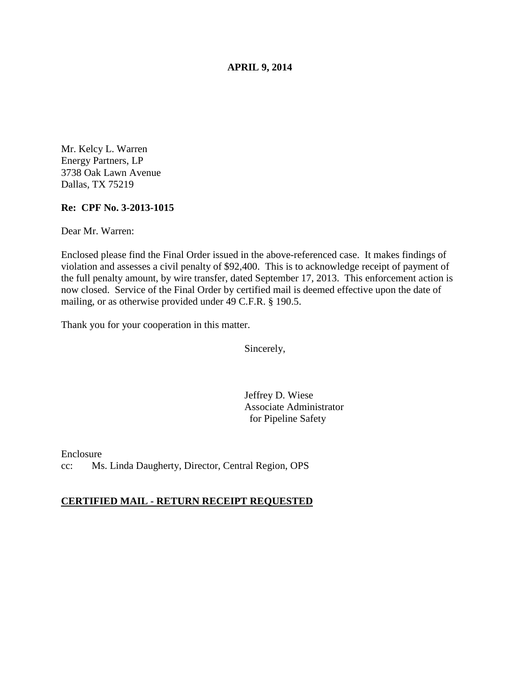**APRIL 9, 2014** 

Mr. Kelcy L. Warren Energy Partners, LP 3738 Oak Lawn Avenue Dallas, TX 75219

## **Re: CPF No. 3-2013-1015**

Dear Mr. Warren:

Enclosed please find the Final Order issued in the above-referenced case. It makes findings of violation and assesses a civil penalty of \$92,400. This is to acknowledge receipt of payment of the full penalty amount, by wire transfer, dated September 17, 2013. This enforcement action is now closed. Service of the Final Order by certified mail is deemed effective upon the date of mailing, or as otherwise provided under 49 C.F.R. § 190.5.

Thank you for your cooperation in this matter.

Sincerely,

Jeffrey D. Wiese Associate Administrator for Pipeline Safety

Enclosure cc: Ms. Linda Daugherty, Director, Central Region, OPS

### **CERTIFIED MAIL - RETURN RECEIPT REQUESTED**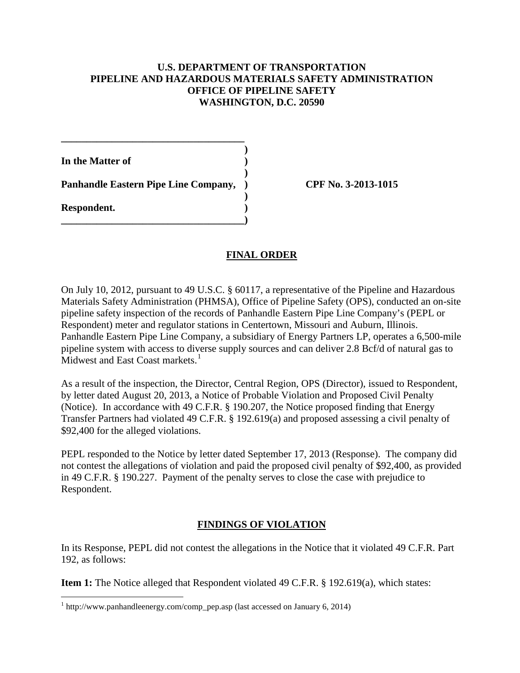## **U.S. DEPARTMENT OF TRANSPORTATION PIPELINE AND HAZARDOUS MATERIALS SAFETY ADMINISTRATION OFFICE OF PIPELINE SAFETY WASHINGTON, D.C. 20590**

 **) In the Matter of )** 

 **) Panhandle Eastern Pipe Line Company, ) CPF No. 3-2013-1015 )** 

**\_\_\_\_\_\_\_\_\_\_\_\_\_\_\_\_\_\_\_\_\_\_\_\_\_\_\_\_\_\_\_\_\_\_\_\_)** 

**\_\_\_\_\_\_\_\_\_\_\_\_\_\_\_\_\_\_\_\_\_\_\_\_\_\_\_\_\_\_\_\_\_\_\_\_** 

**Respondent. )** 

 $\overline{a}$ 

# **FINAL ORDER**

On July 10, 2012, pursuant to 49 U.S.C. § 60117, a representative of the Pipeline and Hazardous Materials Safety Administration (PHMSA), Office of Pipeline Safety (OPS), conducted an on-site pipeline safety inspection of the records of Panhandle Eastern Pipe Line Company's (PEPL or Respondent) meter and regulator stations in Centertown, Missouri and Auburn, Illinois. Panhandle Eastern Pipe Line Company, a subsidiary of Energy Partners LP, operates a 6,500-mile pipeline system with access to diverse supply sources and can deliver 2.8 Bcf/d of natural gas to Midwest and East Coast markets.<sup>1</sup>

As a result of the inspection, the Director, Central Region, OPS (Director), issued to Respondent, by letter dated August 20, 2013, a Notice of Probable Violation and Proposed Civil Penalty (Notice). In accordance with 49 C.F.R. § 190.207, the Notice proposed finding that Energy Transfer Partners had violated 49 C.F.R. § 192.619(a) and proposed assessing a civil penalty of \$92,400 for the alleged violations.

PEPL responded to the Notice by letter dated September 17, 2013 (Response). The company did not contest the allegations of violation and paid the proposed civil penalty of \$92,400, as provided in 49 C.F.R. § 190.227. Payment of the penalty serves to close the case with prejudice to Respondent.

# **FINDINGS OF VIOLATION**

In its Response, PEPL did not contest the allegations in the Notice that it violated 49 C.F.R. Part 192, as follows:

**Item 1:** The Notice alleged that Respondent violated 49 C.F.R. § 192.619(a), which states:

 $1$  http://www.panhandleenergy.com/comp\_pep.asp (last accessed on January 6, 2014)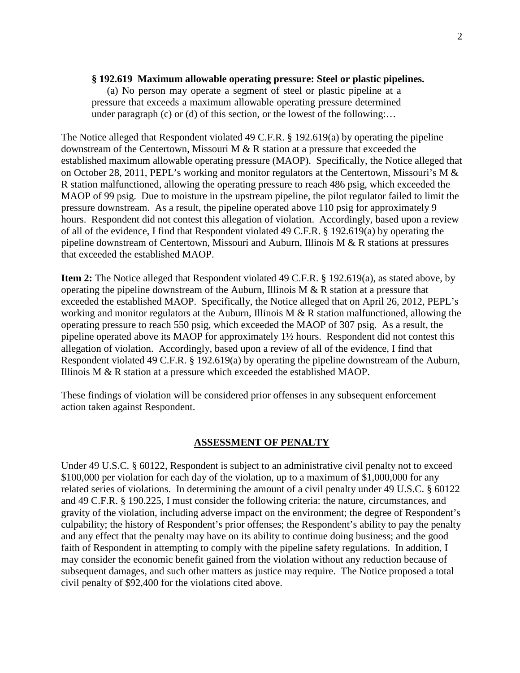#### **§ 192.619 Maximum allowable operating pressure: Steel or plastic pipelines.**

(a) No person may operate a segment of steel or plastic pipeline at a pressure that exceeds a maximum allowable operating pressure determined under paragraph (c) or (d) of this section, or the lowest of the following:...

The Notice alleged that Respondent violated 49 C.F.R. § 192.619(a) by operating the pipeline downstream of the Centertown, Missouri M & R station at a pressure that exceeded the established maximum allowable operating pressure (MAOP). Specifically, the Notice alleged that on October 28, 2011, PEPL's working and monitor regulators at the Centertown, Missouri's M & R station malfunctioned, allowing the operating pressure to reach 486 psig, which exceeded the MAOP of 99 psig. Due to moisture in the upstream pipeline, the pilot regulator failed to limit the pressure downstream. As a result, the pipeline operated above 110 psig for approximately 9 hours. Respondent did not contest this allegation of violation. Accordingly, based upon a review of all of the evidence, I find that Respondent violated 49 C.F.R. § 192.619(a) by operating the pipeline downstream of Centertown, Missouri and Auburn, Illinois M & R stations at pressures that exceeded the established MAOP.

**Item 2:** The Notice alleged that Respondent violated 49 C.F.R. § 192.619(a), as stated above, by operating the pipeline downstream of the Auburn, Illinois M & R station at a pressure that exceeded the established MAOP. Specifically, the Notice alleged that on April 26, 2012, PEPL's working and monitor regulators at the Auburn, Illinois M & R station malfunctioned, allowing the operating pressure to reach 550 psig, which exceeded the MAOP of 307 psig. As a result, the pipeline operated above its MAOP for approximately 1½ hours. Respondent did not contest this allegation of violation. Accordingly, based upon a review of all of the evidence, I find that Respondent violated 49 C.F.R. § 192.619(a) by operating the pipeline downstream of the Auburn, Illinois M & R station at a pressure which exceeded the established MAOP.

These findings of violation will be considered prior offenses in any subsequent enforcement action taken against Respondent.

### **ASSESSMENT OF PENALTY**

Under 49 U.S.C. § 60122, Respondent is subject to an administrative civil penalty not to exceed \$100,000 per violation for each day of the violation, up to a maximum of \$1,000,000 for any related series of violations. In determining the amount of a civil penalty under 49 U.S.C. § 60122 and 49 C.F.R. § 190.225, I must consider the following criteria: the nature, circumstances, and gravity of the violation, including adverse impact on the environment; the degree of Respondent's culpability; the history of Respondent's prior offenses; the Respondent's ability to pay the penalty and any effect that the penalty may have on its ability to continue doing business; and the good faith of Respondent in attempting to comply with the pipeline safety regulations. In addition, I may consider the economic benefit gained from the violation without any reduction because of subsequent damages, and such other matters as justice may require. The Notice proposed a total civil penalty of \$92,400 for the violations cited above.